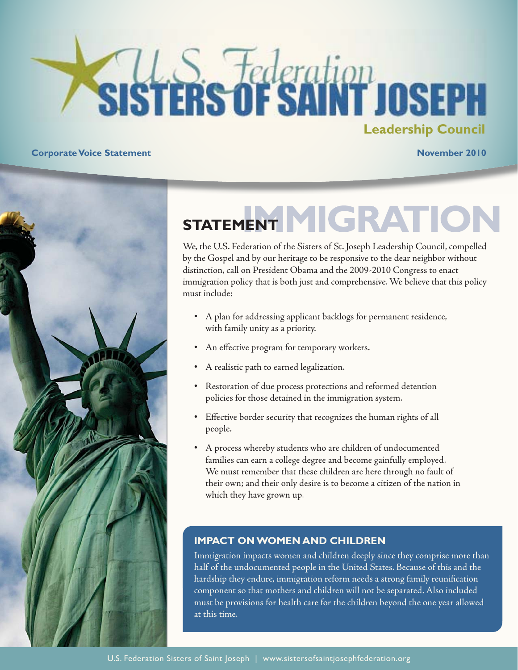# **Sisters of SAINT JOSEPH Statement on Climate Change Council**

**Corporate Voice Statement November 2010** 



# STATEMENT MIGRATION

We, the U.S. Federation of the Sisters of St. Joseph Leadership Council, compelled by the Gospel and by our heritage to be responsive to the dear neighbor without distinction, call on President Obama and the 2009-2010 Congress to enact immigration policy that is both just and comprehensive. We believe that this policy must include:

- A plan for addressing applicant backlogs for permanent residence, with family unity as a priority.
- An effective program for temporary workers.
- A realistic path to earned legalization.
- Restoration of due process protections and reformed detention policies for those detained in the immigration system.
- Effective border security that recognizes the human rights of all people.
- A process whereby students who are children of undocumented families can earn a college degree and become gainfully employed. We must remember that these children are here through no fault of their own; and their only desire is to become a citizen of the nation in which they have grown up.

#### **IMPACT ON WOMEN AND CHILDREN**

Immigration impacts women and children deeply since they comprise more than half of the undocumented people in the United States. Because of this and the hardship they endure, immigration reform needs a strong family reunification component so that mothers and children will not be separated. Also included must be provisions for health care for the children beyond the one year allowed at this time.